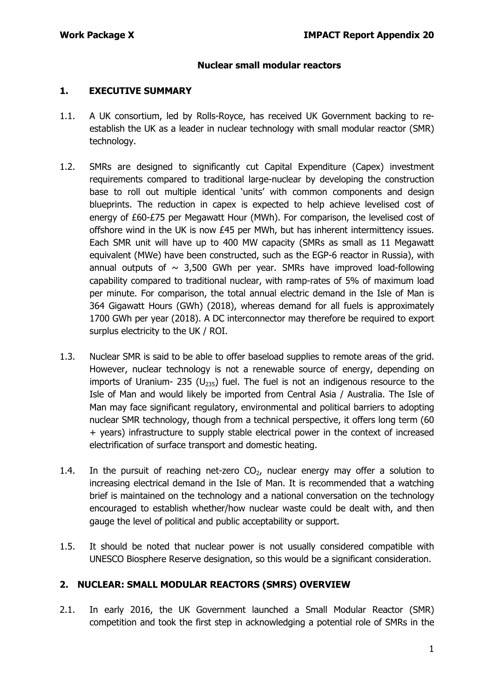### **Nuclear small modular reactors**

#### **1. EXECUTIVE SUMMARY**

- 1.1. A UK consortium, led by Rolls-Royce, has received UK Government backing to reestablish the UK as a leader in nuclear technology with small modular reactor (SMR) technology.
- 1.2. SMRs are designed to significantly cut Capital Expenditure (Capex) investment requirements compared to traditional large-nuclear by developing the construction base to roll out multiple identical 'units' with common components and design blueprints. The reduction in capex is expected to help achieve levelised cost of energy of £60-£75 per Megawatt Hour (MWh). For comparison, the levelised cost of offshore wind in the UK is now £45 per MWh, but has inherent intermittency issues. Each SMR unit will have up to 400 MW capacity (SMRs as small as 11 Megawatt equivalent (MWe) have been constructed, such as the EGP-6 reactor in Russia), with annual outputs of  $\sim$  3,500 GWh per year. SMRs have improved load-following capability compared to traditional nuclear, with ramp-rates of 5% of maximum load per minute. For comparison, the total annual electric demand in the Isle of Man is 364 Gigawatt Hours (GWh) (2018), whereas demand for all fuels is approximately 1700 GWh per year (2018). A DC interconnector may therefore be required to export surplus electricity to the UK / ROI.
- 1.3. Nuclear SMR is said to be able to offer baseload supplies to remote areas of the grid. However, nuclear technology is not a renewable source of energy, depending on imports of Uranium- 235 ( $U_{235}$ ) fuel. The fuel is not an indigenous resource to the Isle of Man and would likely be imported from Central Asia / Australia. The Isle of Man may face significant regulatory, environmental and political barriers to adopting nuclear SMR technology, though from a technical perspective, it offers long term (60 + years) infrastructure to supply stable electrical power in the context of increased electrification of surface transport and domestic heating.
- 1.4. In the pursuit of reaching net-zero  $CO<sub>2</sub>$ , nuclear energy may offer a solution to increasing electrical demand in the Isle of Man. It is recommended that a watching brief is maintained on the technology and a national conversation on the technology encouraged to establish whether/how nuclear waste could be dealt with, and then gauge the level of political and public acceptability or support.
- 1.5. It should be noted that nuclear power is not usually considered compatible with UNESCO Biosphere Reserve designation, so this would be a significant consideration.

## **2. NUCLEAR: SMALL MODULAR REACTORS (SMRS) OVERVIEW**

2.1. In early 2016, the UK Government launched a Small Modular Reactor (SMR) competition and took the first step in acknowledging a potential role of SMRs in the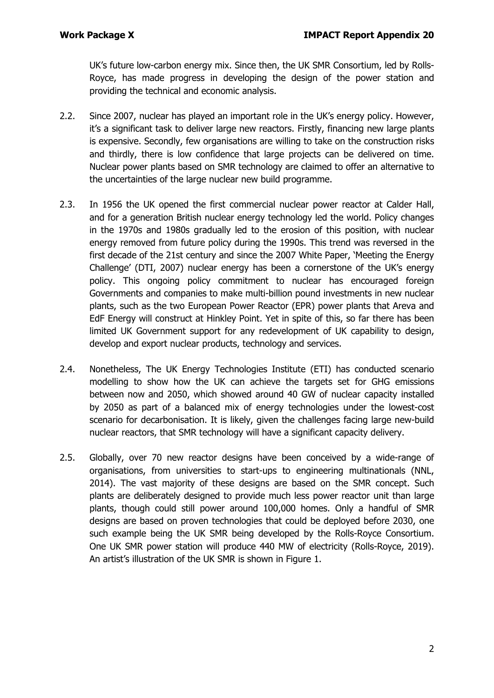UK's future low-carbon energy mix. Since then, the UK SMR Consortium, led by Rolls-Royce, has made progress in developing the design of the power station and providing the technical and economic analysis.

- 2.2. Since 2007, nuclear has played an important role in the UK's energy policy. However, it's a significant task to deliver large new reactors. Firstly, financing new large plants is expensive. Secondly, few organisations are willing to take on the construction risks and thirdly, there is low confidence that large projects can be delivered on time. Nuclear power plants based on SMR technology are claimed to offer an alternative to the uncertainties of the large nuclear new build programme.
- 2.3. In 1956 the UK opened the first commercial nuclear power reactor at Calder Hall, and for a generation British nuclear energy technology led the world. Policy changes in the 1970s and 1980s gradually led to the erosion of this position, with nuclear energy removed from future policy during the 1990s. This trend was reversed in the first decade of the 21st century and since the 2007 White Paper, 'Meeting the Energy Challenge' (DTI, 2007) nuclear energy has been a cornerstone of the UK's energy policy. This ongoing policy commitment to nuclear has encouraged foreign Governments and companies to make multi-billion pound investments in new nuclear plants, such as the two European Power Reactor (EPR) power plants that Areva and EdF Energy will construct at Hinkley Point. Yet in spite of this, so far there has been limited UK Government support for any redevelopment of UK capability to design, develop and export nuclear products, technology and services.
- 2.4. Nonetheless, The UK Energy Technologies Institute (ETI) has conducted scenario modelling to show how the UK can achieve the targets set for GHG emissions between now and 2050, which showed around 40 GW of nuclear capacity installed by 2050 as part of a balanced mix of energy technologies under the lowest-cost scenario for decarbonisation. It is likely, given the challenges facing large new-build nuclear reactors, that SMR technology will have a significant capacity delivery.
- 2.5. Globally, over 70 new reactor designs have been conceived by a wide-range of organisations, from universities to start-ups to engineering multinationals (NNL, 2014). The vast majority of these designs are based on the SMR concept. Such plants are deliberately designed to provide much less power reactor unit than large plants, though could still power around 100,000 homes. Only a handful of SMR designs are based on proven technologies that could be deployed before 2030, one such example being the UK SMR being developed by the Rolls-Royce Consortium. One UK SMR power station will produce 440 MW of electricity (Rolls-Royce, 2019). An artist's illustration of the UK SMR is shown in Figure 1.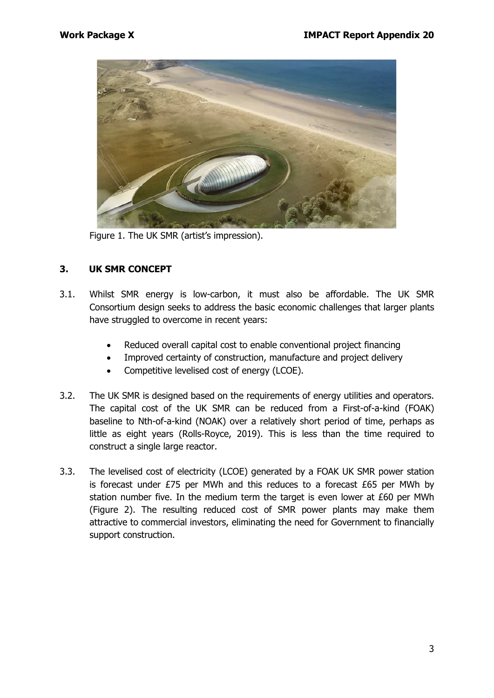

Figure 1. The UK SMR (artist's impression).

# **3. UK SMR CONCEPT**

- 3.1. Whilst SMR energy is low-carbon, it must also be affordable. The UK SMR Consortium design seeks to address the basic economic challenges that larger plants have struggled to overcome in recent years:
	- Reduced overall capital cost to enable conventional project financing
	- Improved certainty of construction, manufacture and project delivery
	- Competitive levelised cost of energy (LCOE).
- 3.2. The UK SMR is designed based on the requirements of energy utilities and operators. The capital cost of the UK SMR can be reduced from a First-of-a-kind (FOAK) baseline to Nth-of-a-kind (NOAK) over a relatively short period of time, perhaps as little as eight years (Rolls-Royce, 2019). This is less than the time required to construct a single large reactor.
- 3.3. The levelised cost of electricity (LCOE) generated by a FOAK UK SMR power station is forecast under  $E$ 75 per MWh and this reduces to a forecast  $E$ 65 per MWh by station number five. In the medium term the target is even lower at £60 per MWh (Figure 2). The resulting reduced cost of SMR power plants may make them attractive to commercial investors, eliminating the need for Government to financially support construction.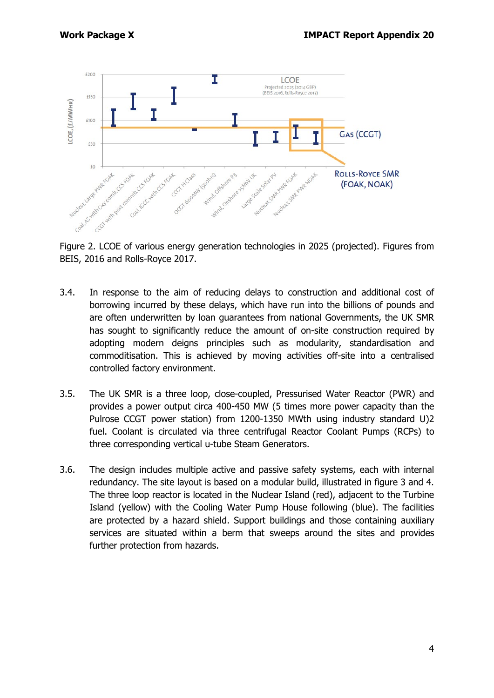

Figure 2. LCOE of various energy generation technologies in 2025 (projected). Figures from BEIS, 2016 and Rolls-Royce 2017.

- 3.4. In response to the aim of reducing delays to construction and additional cost of borrowing incurred by these delays, which have run into the billions of pounds and are often underwritten by loan guarantees from national Governments, the UK SMR has sought to significantly reduce the amount of on-site construction required by adopting modern deigns principles such as modularity, standardisation and commoditisation. This is achieved by moving activities off-site into a centralised controlled factory environment.
- 3.5. The UK SMR is a three loop, close-coupled, Pressurised Water Reactor (PWR) and provides a power output circa 400-450 MW (5 times more power capacity than the Pulrose CCGT power station) from 1200-1350 MWth using industry standard U)2 fuel. Coolant is circulated via three centrifugal Reactor Coolant Pumps (RCPs) to three corresponding vertical u-tube Steam Generators.
- 3.6. The design includes multiple active and passive safety systems, each with internal redundancy. The site layout is based on a modular build, illustrated in figure 3 and 4. The three loop reactor is located in the Nuclear Island (red), adjacent to the Turbine Island (yellow) with the Cooling Water Pump House following (blue). The facilities are protected by a hazard shield. Support buildings and those containing auxiliary services are situated within a berm that sweeps around the sites and provides further protection from hazards.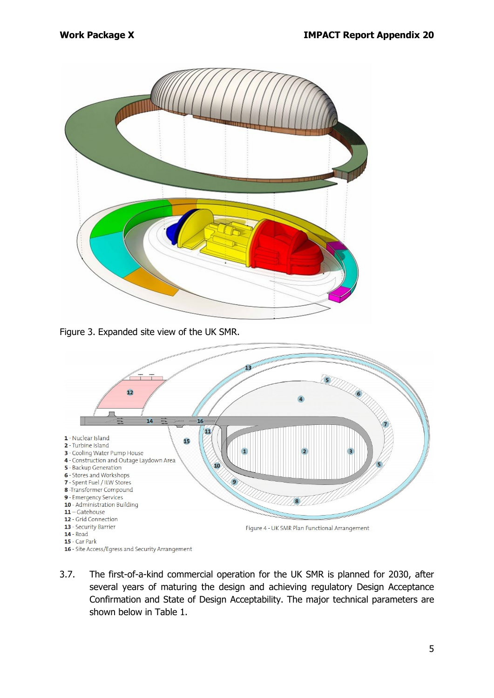

Figure 3. Expanded site view of the UK SMR.



3.7. The first-of-a-kind commercial operation for the UK SMR is planned for 2030, after several years of maturing the design and achieving regulatory Design Acceptance Confirmation and State of Design Acceptability. The major technical parameters are shown below in Table 1.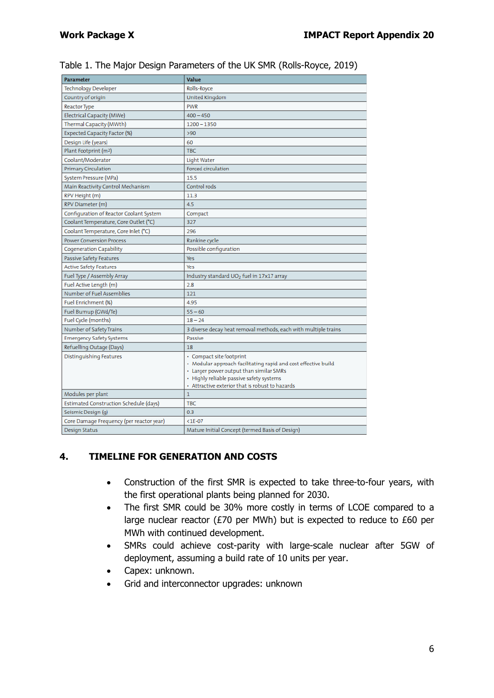| <b>Parameter</b>                              | Value                                                                                                                                                                                                                                |
|-----------------------------------------------|--------------------------------------------------------------------------------------------------------------------------------------------------------------------------------------------------------------------------------------|
| <b>Technology Developer</b>                   | Rolls-Royce                                                                                                                                                                                                                          |
| Country of origin                             | United Kingdom                                                                                                                                                                                                                       |
| <b>Reactor Type</b>                           | <b>PWR</b>                                                                                                                                                                                                                           |
| Electrical Capacity (MWe)                     | $400 - 450$                                                                                                                                                                                                                          |
| Thermal Capacity (MWth)                       | $1200 - 1350$                                                                                                                                                                                                                        |
| Expected Capacity Factor (%)                  | >90                                                                                                                                                                                                                                  |
| Design Life (years)                           | 60                                                                                                                                                                                                                                   |
| Plant Footprint (m2)                          | <b>TBC</b>                                                                                                                                                                                                                           |
| Coolant/Moderator                             | Light Water                                                                                                                                                                                                                          |
| <b>Primary Circulation</b>                    | Forced circulation                                                                                                                                                                                                                   |
| System Pressure (MPa)                         | 15.5                                                                                                                                                                                                                                 |
| Main Reactivity Control Mechanism             | Control rods                                                                                                                                                                                                                         |
| RPV Height (m)                                | 11.3                                                                                                                                                                                                                                 |
| RPV Diameter (m)                              | 4.5                                                                                                                                                                                                                                  |
| Configuration of Reactor Coolant System       | Compact                                                                                                                                                                                                                              |
| Coolant Temperature, Core Outlet (°C)         | 327                                                                                                                                                                                                                                  |
| Coolant Temperature, Core Inlet (°C)          | 296                                                                                                                                                                                                                                  |
| <b>Power Conversion Process</b>               | Rankine cycle                                                                                                                                                                                                                        |
| <b>Cogeneration Capability</b>                | Possible configuration                                                                                                                                                                                                               |
| <b>Passive Safety Features</b>                | <b>Yes</b>                                                                                                                                                                                                                           |
| Active Safety Features                        | Yes                                                                                                                                                                                                                                  |
| Fuel Type / Assembly Array                    | Industry standard UO <sub>2</sub> fuel in 17x17 array                                                                                                                                                                                |
| Fuel Active Length (m)                        | 2.8                                                                                                                                                                                                                                  |
| Number of Fuel Assemblies                     | 121                                                                                                                                                                                                                                  |
| Fuel Enrichment (%)                           | 4.95                                                                                                                                                                                                                                 |
| Fuel Burnup (GWd/Te)                          | $55 - 60$                                                                                                                                                                                                                            |
| Fuel Cycle (months)                           | $18 - 24$                                                                                                                                                                                                                            |
| Number of Safety Trains                       | 3 diverse decay heat removal methods, each with multiple trains                                                                                                                                                                      |
| <b>Emergency Safety Systems</b>               | Passive                                                                                                                                                                                                                              |
| Refuelling Outage (Days)                      | 18                                                                                                                                                                                                                                   |
| <b>Distinguishing Features</b>                | • Compact site footprint<br>· Modular approach facilitating rapid and cost effective build<br>• Larger power output than similar SMRs<br>· Highly reliable passive safety systems<br>• Attractive exterior that is robust to hazards |
| Modules per plant                             | $\mathbf{1}$                                                                                                                                                                                                                         |
| <b>Estimated Construction Schedule (days)</b> | <b>TBC</b>                                                                                                                                                                                                                           |
| Seismic Design (q)                            | 0.3                                                                                                                                                                                                                                  |
| Core Damage Frequency (per reactor year)      | $<$ 1E-07                                                                                                                                                                                                                            |
| <b>Design Status</b>                          | Mature Initial Concept (termed Basis of Design)                                                                                                                                                                                      |

# Table 1. The Major Design Parameters of the UK SMR (Rolls-Royce, 2019)

# **4. TIMELINE FOR GENERATION AND COSTS**

- Construction of the first SMR is expected to take three-to-four years, with the first operational plants being planned for 2030.
- The first SMR could be 30% more costly in terms of LCOE compared to a large nuclear reactor (£70 per MWh) but is expected to reduce to £60 per MWh with continued development.
- SMRs could achieve cost-parity with large-scale nuclear after 5GW of deployment, assuming a build rate of 10 units per year.
- Capex: unknown.
- Grid and interconnector upgrades: unknown